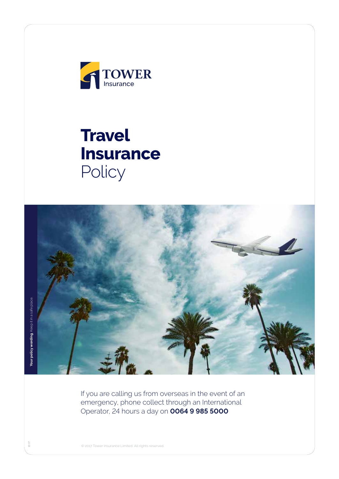

# **Travel Insurance Policy**



If you are calling us from overseas in the event of an emergency, phone collect through an International Operator, 24 hours a day on **0064 9 985 5000**

**Your policy wording**. Keep it in a safe place. our policy wording. Keep it in a safe place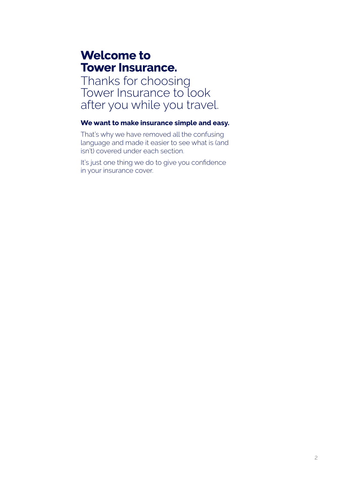# **Welcome to Tower Insurance.**

Thanks for choosing Tower Insurance to look after you while you travel.

# **We want to make insurance simple and easy.**

That's why we have removed all the confusing language and made it easier to see what is (and isn't) covered under each section.

It's just one thing we do to give you confidence in your insurance cover.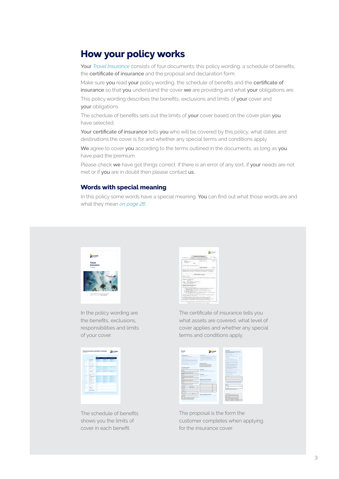# **How your policy works**

Your *Travel Insurance* consists of four documents: this policy wording, a schedule of benefits, the certificate of insurance and the proposal and declaration form.

Make sure you read your policy wording, the schedule of benefits and the certificate of insurance so that you understand the cover we are providing and what your obligations are.

This policy wording describes the benefits, exclusions and limits of your cover and your obligations.

The schedule of benefits sets out the limits of your cover based on the cover plan you have selected.

Your certificate of insurance tells you who will be covered by this policy, what dates and destinations the cover is for and whether any special terms and conditions apply.

We agree to cover you according to the terms outlined in the documents, as long as you have paid the premium.

Please check we have got things correct. If there is an error of any sort, if your needs are not met or if you are in doubt then please contact us.

### **Words with special meaning**

In this policy some words have a special meaning. You can find out what those words are and what they mean *on page 26*.



In the policy wording are the benefits, exclusions, responsibilities and limits of your cover.



The schedule of benefits shows you the limits of cover in each benefit.

| . .<br>-<br>ī<br>.<br>died of present.<br><br>All Calvas P. III<br>Market & production<br><b>CALL CO. CO. TO THE R. P. LEWIS.</b><br>a ma<br>--<br><br>×<br>÷<br>٠<br>. .<br>÷<br>τ<br>$-11$<br>T.<br>W<br>w<br>--<br>$\sim$<br>--<br>and the first party of<br>----<br>. .<br>--<br>The Seattle Council<br><br>---<br>×<br>×<br><br>111-110 JPD<br>division in the C | ----                        |  |
|-----------------------------------------------------------------------------------------------------------------------------------------------------------------------------------------------------------------------------------------------------------------------------------------------------------------------------------------------------------------------|-----------------------------|--|
|                                                                                                                                                                                                                                                                                                                                                                       |                             |  |
|                                                                                                                                                                                                                                                                                                                                                                       |                             |  |
|                                                                                                                                                                                                                                                                                                                                                                       |                             |  |
|                                                                                                                                                                                                                                                                                                                                                                       |                             |  |
|                                                                                                                                                                                                                                                                                                                                                                       |                             |  |
|                                                                                                                                                                                                                                                                                                                                                                       |                             |  |
|                                                                                                                                                                                                                                                                                                                                                                       |                             |  |
|                                                                                                                                                                                                                                                                                                                                                                       |                             |  |
|                                                                                                                                                                                                                                                                                                                                                                       |                             |  |
|                                                                                                                                                                                                                                                                                                                                                                       |                             |  |
|                                                                                                                                                                                                                                                                                                                                                                       | ally There is advantage and |  |

The certificate of insurance tells you what assets are covered, what level of cover applies and whether any special terms and conditions apply.

|                                                                                                                                                                                                                                                                                                                   | TOWER                                                                                         | Dentandan                                                                                                                                                        |           |
|-------------------------------------------------------------------------------------------------------------------------------------------------------------------------------------------------------------------------------------------------------------------------------------------------------------------|-----------------------------------------------------------------------------------------------|------------------------------------------------------------------------------------------------------------------------------------------------------------------|-----------|
| Travel<br><b>Business of</b>                                                                                                                                                                                                                                                                                      |                                                                                               | Engineering contribution rating Managements in<br><b>Senior Terrorism Indian America</b>                                                                         |           |
| <b>Important retim</b>                                                                                                                                                                                                                                                                                            | <b>VINNINGER</b>                                                                              | providence/continued in Qu.Qu.<br>The distance extent help of                                                                                                    |           |
| Two and American States                                                                                                                                                                                                                                                                                           | Chicago and had below the adult of functioners                                                | Send by the policy and program by at all finances.                                                                                                               | $0 - 0 -$ |
| be leave a teacher to the hold or any structure but you what the asset provides                                                                                                                                                                                                                                   | The parties were to accept them about your information of the con-                            | <b>Modernet</b>                                                                                                                                                  | $0 - 0 -$ |
| <b>STATISTICS</b><br>because of an all properties                                                                                                                                                                                                                                                                 | Chromosomers Christmas country from shear-                                                    | <b>Northern Printer and Sea Park?</b>                                                                                                                            | Out On    |
| be described to your additional and all persons in the first state of the complete property<br>The property and a set of the contribution of the contribution of the contract of<br>with all considers strategies in additional design to the con-<br>adaptation the dealer of a lower dealer business and a con- | C Twen retail a best and our for provide nature to be<br><b>CONTRACTOR</b>                    | but administration of the A<br><b>Secure</b>                                                                                                                     | $0 - 0 -$ |
| The constitution of the particle to process and in the first process<br>distance in the senior                                                                                                                                                                                                                    | Period of imagement                                                                           | beatterwardsvinger<br>protecting part was of bank for paint and the first                                                                                        | $P_{111}$ |
| to management to an any three controls to                                                                                                                                                                                                                                                                         |                                                                                               | Summitted and product started as a property<br>should a hybrid question and a har-                                                                               | $0 - 0 -$ |
| Pelinshalders' details<br><b>TART MILLERS</b>                                                                                                                                                                                                                                                                     |                                                                                               | by an extendion from the class for the parties of<br><b>MASSAGE AN AARLINGLY PART</b><br>mit al behörenhete befast sondate<br><b>CARDINAL AND IN THE COMPANY</b> | Out On    |
|                                                                                                                                                                                                                                                                                                                   | <b>Plannelinn</b>                                                                             | competition permission and case. The Pla-                                                                                                                        |           |
| m                                                                                                                                                                                                                                                                                                                 | <b>Turns or that's To collect about the to</b><br><b>Process President Processing tension</b> | <b>COMPANY</b><br><b>Management Street, On On</b>                                                                                                                |           |
| <b>THEFT IS</b><br>÷                                                                                                                                                                                                                                                                                              |                                                                                               | and me had been."<br>business of the control of the control of<br>contact the factory and                                                                        | Out On    |
|                                                                                                                                                                                                                                                                                                                   | Count hour                                                                                    | <b><i>DESIGNATION COMPANY</i></b>                                                                                                                                |           |
| ×<br>Ξ.                                                                                                                                                                                                                                                                                                           | beautiful to attractions                                                                      | For infected any designation. Townshell by individual teller.<br>amount of below.                                                                                |           |
|                                                                                                                                                                                                                                                                                                                   | Personal Prints                                                                               |                                                                                                                                                                  |           |
|                                                                                                                                                                                                                                                                                                                   |                                                                                               |                                                                                                                                                                  |           |
| ---                                                                                                                                                                                                                                                                                                               | <b>Lamps andernood</b> effects.                                                               |                                                                                                                                                                  |           |
|                                                                                                                                                                                                                                                                                                                   | To an interest and a schedule and allowable                                                   |                                                                                                                                                                  |           |
|                                                                                                                                                                                                                                                                                                                   | Alt realizate engine here 2 0-0-                                                              | Q climate his carrier and of adults of the policy of<br><b>PRESCRIPTION OF REPORT AND RESIDENT</b>                                                               |           |
| .                                                                                                                                                                                                                                                                                                                 | They are all program to the first fact to the month color manual of                           | The Towns and will surface at The African are a market or movel                                                                                                  |           |
|                                                                                                                                                                                                                                                                                                                   |                                                                                               | <b>ALCOHOL: UNK</b>                                                                                                                                              |           |
| <b>Scholarsh</b>                                                                                                                                                                                                                                                                                                  |                                                                                               | -                                                                                                                                                                |           |
|                                                                                                                                                                                                                                                                                                                   |                                                                                               |                                                                                                                                                                  |           |
| ۰                                                                                                                                                                                                                                                                                                                 |                                                                                               | .                                                                                                                                                                |           |
| <b>BURNIER</b>                                                                                                                                                                                                                                                                                                    |                                                                                               |                                                                                                                                                                  |           |
| ==<br>_                                                                                                                                                                                                                                                                                                           |                                                                                               |                                                                                                                                                                  |           |
| <b>Administration</b><br>                                                                                                                                                                                                                                                                                         |                                                                                               |                                                                                                                                                                  |           |
| ≂                                                                                                                                                                                                                                                                                                                 |                                                                                               | <b>STORY ON THE</b>                                                                                                                                              |           |
| <b>BUILDING</b>                                                                                                                                                                                                                                                                                                   | Cadanal benefit business travel.                                                              |                                                                                                                                                                  |           |
|                                                                                                                                                                                                                                                                                                                   | <b>The products of the street front class to return!</b><br>$P_{111}$ $P_{122}$               |                                                                                                                                                                  |           |
|                                                                                                                                                                                                                                                                                                                   |                                                                                               | _<br>$\sim$                                                                                                                                                      |           |
|                                                                                                                                                                                                                                                                                                                   |                                                                                               |                                                                                                                                                                  |           |
|                                                                                                                                                                                                                                                                                                                   |                                                                                               |                                                                                                                                                                  |           |
|                                                                                                                                                                                                                                                                                                                   |                                                                                               |                                                                                                                                                                  |           |

The proposal is the form the customer completes when applying for the insurance cover.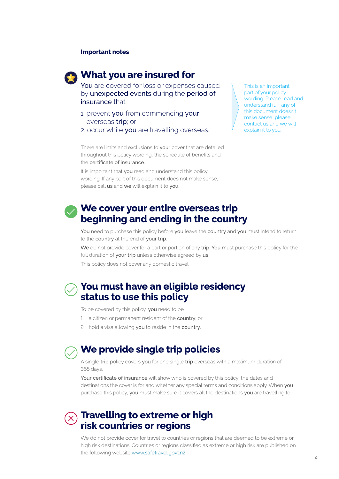### **Important notes**



# **What you are insured for**

You are covered for loss or expenses caused by unexpected events during the period of insurance that:

- 1. prevent you from commencing your overseas trip; or
- 2. occur while you are travelling overseas.

This is an important part of your policy wording. Please read and understand it. If any of this document doesn't make sense, please contact us and we will explain it to you.

There are limits and exclusions to your cover that are detailed throughout this policy wording, the schedule of benefits and the certificate of insurance.

It is important that you read and understand this policy wording. If any part of this document does not make sense, please call us and we will explain it to you.

# **We cover your entire overseas trip beginning and ending in the country**

You need to purchase this policy before you leave the country and you must intend to return to the country at the end of your trip.

We do not provide cover for a part or portion of any trip. You must purchase this policy for the full duration of your trip unless otherwise agreed by us.

This policy does not cover any domestic travel.

# **You must have an eligible residency status to use this policy**

To be covered by this policy, you need to be:

- 1. a citizen or permanent resident of the country; or
- 2. hold a visa allowing you to reside in the country.



# **We provide single trip policies**

A single trip policy covers you for one single trip overseas with a maximum duration of 365 days.

Your certificate of insurance will show who is covered by this policy, the dates and destinations the cover is for and whether any special terms and conditions apply. When you purchase this policy, you must make sure it covers all the destinations you are travelling to.

# **Travelling to extreme or high risk countries or regions**

We do not provide cover for travel to countries or regions that are deemed to be extreme or high risk destinations. Countries or regions classified as extreme or high risk are published on the following website www.safetravel.govt.nz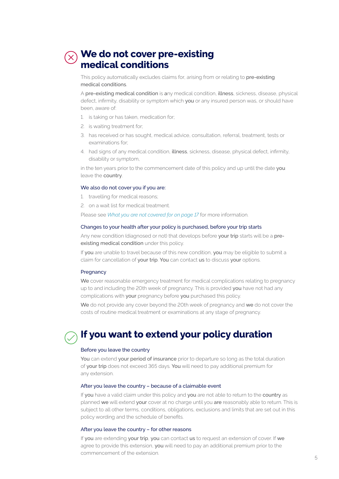# **We do not cover pre-existing medical conditions**

This policy automatically excludes claims for, arising from or relating to pre-existing medical conditions.

A pre-existing medical condition is any medical condition, illness, sickness, disease, physical defect, infirmity, disability or symptom which you or any insured person was, or should have been, aware of:

- 1. is taking or has taken, medication for;
- 2. is waiting treatment for;
- 3. has received or has sought, medical advice, consultation, referral, treatment, tests or examinations for;
- 4. had signs of any medical condition, illness, sickness, disease, physical defect, infirmity, disability or symptom,

in the ten years prior to the commencement date of this policy and up until the date you leave the country.

### We also do not cover you if you are:

- 1. travelling for medical reasons;
- 2. on a wait list for medical treatment.

Please see *What you are not covered for on page 17* for more information.

### Changes to your health after your policy is purchased, before your trip starts

Any new condition (diagnosed or not) that develops before your trip starts will be a preexisting medical condition under this policy.

If you are unable to travel because of this new condition, you may be eligible to submit a claim for cancellation of your trip. You can contact us to discuss your options.

### Pregnancy

We cover reasonable emergency treatment for medical complications relating to pregnancy up to and including the 20th week of pregnancy. This is provided you have not had any complications with your pregnancy before you purchased this policy.

We do not provide any cover beyond the 20th week of pregnancy and we do not cover the costs of routine medical treatment or examinations at any stage of pregnancy.

# **If you want to extend your policy duration**

### Before you leave the country

You can extend your period of insurance prior to departure so long as the total duration of your trip does not exceed 365 days. You will need to pay additional premium for any extension.

### After you leave the country – because of a claimable event

If you have a valid claim under this policy and you are not able to return to the country as planned we will extend your cover at no charge until you are reasonably able to return. This is subject to all other terms, conditions, obligations, exclusions and limits that are set out in this policy wording and the schedule of benefits.

### After you leave the country – for other reasons

If you are extending your trip, you can contact us to request an extension of cover. If we agree to provide this extension, you will need to pay an additional premium prior to the commencement of the extension.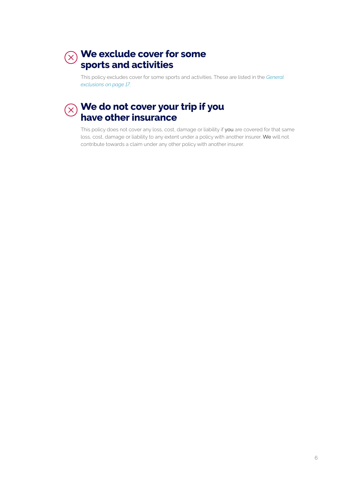# **We exclude cover for some sports and activities**

This policy excludes cover for some sports and activities. These are listed in the *General exclusions on page 17*.

# **We do not cover your trip if you have other insurance**

This policy does not cover any loss, cost, damage or liability if you are covered for that same loss, cost, damage or liability to any extent under a policy with another insurer. We will not contribute towards a claim under any other policy with another insurer.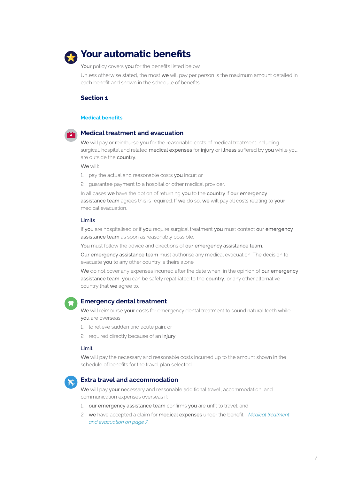

# **Your automatic benefits**

Your policy covers you for the benefits listed below.

Unless otherwise stated, the most we will pay per person is the maximum amount detailed in each benefit and shown in the schedule of benefits.

### **Section 1**

### **Medical benefits**



### **Medical treatment and evacuation**

We will pay or reimburse you for the reasonable costs of medical treatment including surgical, hospital and related medical expenses for injury or illness suffered by you while you are outside the country.

We will:

- 1. pay the actual and reasonable costs you incur; or
- 2. guarantee payment to a hospital or other medical provider.

In all cases we have the option of returning you to the country if our emergency assistance team agrees this is required. If we do so, we will pay all costs relating to your medical evacuation.

### Limits

If you are hospitalised or if you require surgical treatment you must contact our emergency assistance team as soon as reasonably possible.

You must follow the advice and directions of our emergency assistance team.

Our emergency assistance team must authorise any medical evacuation. The decision to evacuate you to any other country is theirs alone.

We do not cover any expenses incurred after the date when, in the opinion of our emergency assistance team, you can be safely repatriated to the country, or any other alternative country that we agree to.



### **Emergency dental treatment**

We will reimburse your costs for emergency dental treatment to sound natural teeth while you are overseas:

- 1. to relieve sudden and acute pain; or
- 2. required directly because of an injury.

### Limit

We will pay the necessary and reasonable costs incurred up to the amount shown in the schedule of benefits for the travel plan selected.



### **Extra travel and accommodation**

We will pay your necessary and reasonable additional travel, accommodation, and communication expenses overseas if:

- 1. our emergency assistance team confirms you are unfit to travel; and
- 2. we have accepted a claim for medical expenses under the benefit *Medical treatment and evacuation on page 7*.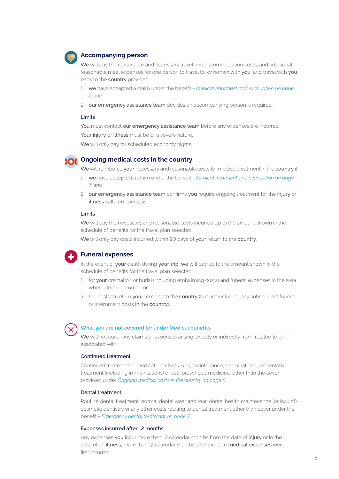

### **Accompanying person**

We will pay the reasonable and necessary travel and accommodation costs, and additional reasonable meal expenses for one person to travel to, or remain with you, and travel with you back to the country provided:

- 1. we have accepted a claim under the benefit *Medical treatment and evacuation on page 7*; and
- 2. our emergency assistance team decides an accompanying person is required.

### Limits

You must contact our emergency assistance team before any expenses are incurred.

Your injury or illness must be of a severe nature.

We will only pay for scheduled economy flights.



### **Ongoing medical costs in the country**

We will reimburse your necessary and reasonable costs for medical treatment in the country if:

- 1. we have accepted a claim under the benefit *Medical treatment and evacuation on page 7*; and
- 2. our emergency assistance team confirms you require ongoing treatment for the injury or illness suffered overseas.

### Limits

We will pay the necessary and reasonable costs incurred up to the amount shown in the schedule of benefits for the travel plan selected.

We will only pay costs incurred within 90 days of your return to the country.



# **Funeral expenses**

In the event of your death during your trip, we will pay up to the amount shown in the schedule of benefits for the travel plan selected:

- 1. for your cremation or burial (including embalming costs) and funeral expenses in the area where death occurred; or
- 2. the costs to return your remains to the country (but not including any subsequent funeral or internment costs in the country).



### **What you are not covered for under Medical benefits**

We will not cover any claims or expenses arising directly or indirectly from, related to or associated with:

### Continued treatment

Continued treatment or medication, check-ups, maintenance, examinations, preventative treatment (including immunisations) or self-prescribed medicine, other than the cover provided under *Ongoing medical costs in the country on page 8*.

### Dental treatment

Routine dental treatment, normal dental wear and tear, dental health maintenance (or lack of), cosmetic dentistry or any other costs relating to dental treatment other than cover under the benefit - *Emergency dental treatment on page 7*.

### Expenses incurred after 12 months

Any expenses you incur more than 12 calendar months from the date of injury or in the case of an illness, more than 12 calendar months after the date medical expenses were first incurred.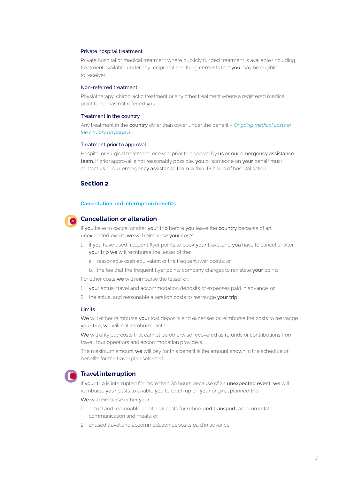### Private hospital treatment

Private hospital or medical treatment where publicly funded treatment is available (including treatment available under any reciprocal health agreements that you may be eligible to receive).

### Non-referred treatment

Physiotherapy, chiropractic treatment or any other treatment where a registered medical practitioner has not referred you.

### Treatment in the country

Any treatment in the country other than cover under the benefit – *Ongoing medical costs in the country on page 8*.

### Treatment prior to approval

Hospital or surgical treatment received prior to approval by us or our emergency assistance team. If prior approval is not reasonably possible, you or someone on your behalf must contact us or our emergency assistance team within 48 hours of hospitalisation.

### **Section 2**

### **Cancellation and interruption benefits**



### **Cancellation or alteration**

If you have to cancel or alter your trip before you leave the country because of an unexpected event, we will reimburse your costs:

- 1. If you have used frequent flyer points to book your travel and you have to cancel or alter your trip we will reimburse the lesser of the:
	- a. reasonable cash equivalent of the frequent flyer points; or
	- b. the fee that the frequent flyer points company charges to reinstate your points.

For other costs we will reimburse the lesser of:

- 1. your actual travel and accommodation deposits or expenses paid in advance; or
- 2. the actual and reasonable alteration costs to rearrange your trip

### Limits

We will either reimburse your lost deposits and expenses or reimburse the costs to rearrange your trip, we will not reimburse both.

We will only pay costs that cannot be otherwise recovered as refunds or contributions from travel, tour operators and accommodation providers.

The maximum amount we will pay for this benefit is the amount shown in the schedule of benefits for the travel plan selected.



### **Travel interruption**

If your trip is interrupted for more than 36 hours because of an unexpected event, we will reimburse your costs to enable you to catch up on your original planned trip.

We will reimburse either your:

- 1. actual and reasonable additional costs for **scheduled transport**, accommodation, communication and meals; or
- 2. unused travel and accommodation deposits paid in advance.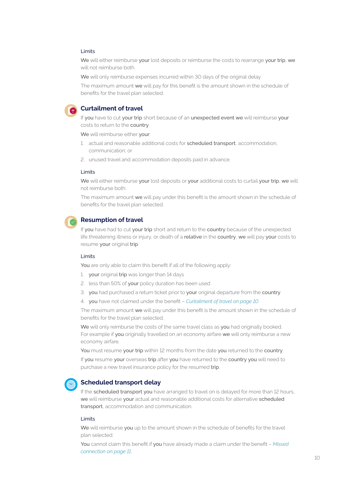### Limits

We will either reimburse your lost deposits or reimburse the costs to rearrange your trip, we will not reimburse both.

We will only reimburse expenses incurred within 30 days of the original delay.

The maximum amount we will pay for this benefit is the amount shown in the schedule of benefits for the travel plan selected.



### **Curtailment of travel**

If you have to cut your trip short because of an unexpected event we will reimburse your costs to return to the country.

We will reimburse either your:

- 1. actual and reasonable additional costs for scheduled transport, accommodation, communication; or
- 2. unused travel and accommodation deposits paid in advance.

### Limits

We will either reimburse your lost deposits or your additional costs to curtail your trip, we will not reimburse both.

The maximum amount we will pay under this benefit is the amount shown in the schedule of benefits for the travel plan selected.



### **Resumption of travel**

If you have had to cut your trip short and return to the country because of the unexpected life threatening illness or injury, or death of a relative in the country, we will pay your costs to resume your original trip.

### Limits

You are only able to claim this benefit if all of the following apply:

- 1. your original trip was longer than 14 days
- 2. less than 50% of your policy duration has been used
- 3. you had purchased a return ticket prior to your original departure from the country
- 4. you have not claimed under the benefit *Curtailment of travel on page 10*.

The maximum amount we will pay under this benefit is the amount shown in the schedule of benefits for the travel plan selected.

We will only reimburse the costs of the same travel class as you had originally booked. For example if you originally travelled on an economy airfare we will only reimburse a new economy airfare.

You must resume your trip within 12 months from the date you returned to the country.

If you resume your overseas trip after you have returned to the country you will need to purchase a new travel insurance policy for the resumed trip.



### **Scheduled transport delay**

If the scheduled transport you have arranged to travel on is delayed for more than 12 hours, we will reimburse your actual and reasonable additional costs for alternative scheduled transport, accommodation and communication.

### Limits

We will reimburse you up to the amount shown in the schedule of benefits for the travel plan selected.

You cannot claim this benefit if you have already made a claim under the benefit – *Missed connection on page 11*.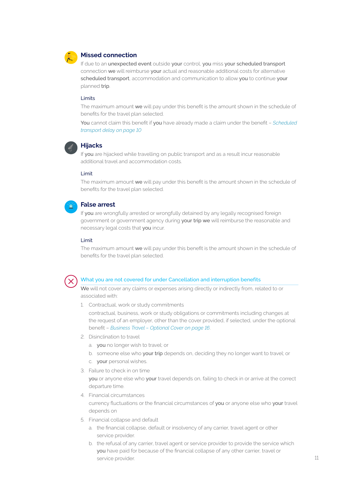

### **Missed connection**

If due to an unexpected event outside your control, you miss your scheduled transport connection we will reimburse your actual and reasonable additional costs for alternative scheduled transport, accommodation and communication to allow you to continue your planned trip.

### Limits

The maximum amount we will pay under this benefit is the amount shown in the schedule of benefits for the travel plan selected.

You cannot claim this benefit if you have already made a claim under the benefit – *Scheduled transport delay on page 10*



### **Hijacks**

If you are hijacked while travelling on public transport and as a result incur reasonable additional travel and accommodation costs.

### Limit

The maximum amount we will pay under this benefit is the amount shown in the schedule of benefits for the travel plan selected.



### **False arrest**

If you are wrongfully arrested or wrongfully detained by any legally recognised foreign government or government agency during your trip we will reimburse the reasonable and necessary legal costs that you incur.

### Limit

The maximum amount we will pay under this benefit is the amount shown in the schedule of benefits for the travel plan selected.



### What you are not covered for under Cancellation and interruption benefits

We will not cover any claims or expenses arising directly or indirectly from, related to or associated with:

1. Contractual, work or study commitments

contractual, business, work or study obligations or commitments including changes at the request of an employer, other than the cover provided, if selected, under the optional benefit – *Business Travel – Optional Cover on page 16*.

- 2. Disinclination to travel
	- a. you no longer wish to travel; or
	- b. someone else who your trip depends on, deciding they no longer want to travel; or
	- c. your personal wishes.
- 3. Failure to check in on time

you or anyone else who your travel depends on, failing to check in or arrive at the correct departure time.

4. Financial circumstances

currency fluctuations or the financial circumstances of you or anyone else who your travel depends on

- 5. Financial collapse and default
	- a. the financial collapse, default or insolvency of any carrier, travel agent or other service provider.
	- b. the refusal of any carrier, travel agent or service provider to provide the service which you have paid for because of the financial collapse of any other carrier, travel or service provider.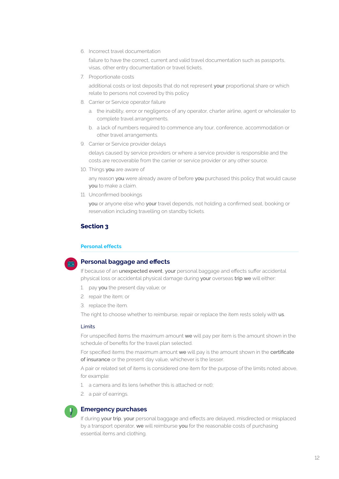6. Incorrect travel documentation

failure to have the correct, current and valid travel documentation such as passports, visas, other entry documentation or travel tickets.

7. Proportionate costs

additional costs or lost deposits that do not represent your proportional share or which relate to persons not covered by this policy

- 8. Carrier or Service operator failure
	- a. the inability, error or negligence of any operator, charter airline, agent or wholesaler to complete travel arrangements.
	- b. a lack of numbers required to commence any tour, conference, accommodation or other travel arrangements.
- 9. Carrier or Service provider delays

delays caused by service providers or where a service provider is responsible and the costs are recoverable from the carrier or service provider or any other source.

10. Things you are aware of

any reason you were already aware of before you purchased this policy that would cause you to make a claim.

11. Unconfirmed bookings

you or anyone else who your travel depends, not holding a confirmed seat, booking or reservation including travelling on standby tickets.

### **Section 3**

### **Personal effects**

### **Personal baggage and effects**

If because of an unexpected event, your personal baggage and effects suffer accidental physical loss or accidental physical damage during your overseas trip we will either:

- 1. pay you the present day value; or
- 2. repair the item; or
- 3. replace the item.

The right to choose whether to reimburse, repair or replace the item rests solely with us.

### Limits

For unspecified items the maximum amount we will pay per item is the amount shown in the schedule of benefits for the travel plan selected.

For specified items the maximum amount we will pay is the amount shown in the certificate of insurance or the present day value, whichever is the lesser.

A pair or related set of items is considered one item for the purpose of the limits noted above, for example:

- 1. a camera and its lens (whether this is attached or not);
- 2. a pair of earrings.

### **Emergency purchases**

If during your trip, your personal baggage and effects are delayed, misdirected or misplaced by a transport operator, we will reimburse you for the reasonable costs of purchasing essential items and clothing.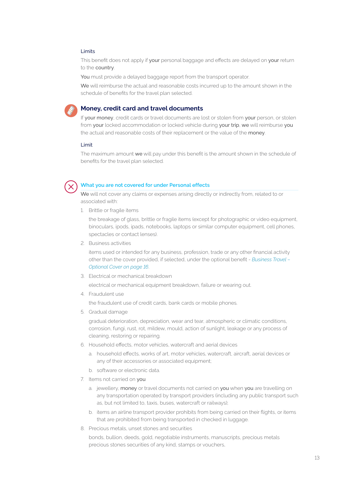### Limits

This benefit does not apply if your personal baggage and effects are delayed on your return to the country.

You must provide a delayed baggage report from the transport operator.

We will reimburse the actual and reasonable costs incurred up to the amount shown in the schedule of benefits for the travel plan selected.



### **Money, credit card and travel documents**

If your money, credit cards or travel documents are lost or stolen from your person, or stolen from your locked accommodation or locked vehicle during your trip, we will reimburse you the actual and reasonable costs of their replacement or the value of the money.

### Limit

The maximum amount we will pay under this benefit is the amount shown in the schedule of benefits for the travel plan selected.



### **What you are not covered for under Personal effects**

We will not cover any claims or expenses arising directly or indirectly from, related to or associated with:

1. Brittle or fragile items

the breakage of glass, brittle or fragile items (except for photographic or video equipment, binoculars, ipods, ipads, notebooks, laptops or similar computer equipment, cell phones, spectacles or contact lenses).

2. Business activities

items used or intended for any business, profession, trade or any other financial activity other than the cover provided, if selected, under the optional benefit - *Business Travel – Optional Cover on page 16*.

3. Electrical or mechanical breakdown

electrical or mechanical equipment breakdown, failure or wearing out.

4. Fraudulent use

the fraudulent use of credit cards, bank cards or mobile phones.

5. Gradual damage

gradual deterioration, depreciation, wear and tear, atmospheric or climatic conditions, corrosion, fungi, rust, rot, mildew, mould, action of sunlight, leakage or any process of cleaning, restoring or repairing.

- 6. Household effects, motor vehicles, watercraft and aerial devices
	- a. household effects, works of art, motor vehicles, watercraft, aircraft, aerial devices or any of their accessories or associated equipment;
	- b. software or electronic data.
- 7. Items not carried on you
	- a. jewellery, money or travel documents not carried on you when you are travelling on any transportation operated by transport providers (including any public transport such as, but not limited to, taxis, buses, watercraft or railways);
	- b. items an airline transport provider prohibits from being carried on their flights, or items that are prohibited from being transported in checked in luggage.
- 8. Precious metals, unset stones and securities

bonds, bullion, deeds, gold, negotiable instruments, manuscripts, precious metals precious stones securities of any kind, stamps or vouchers,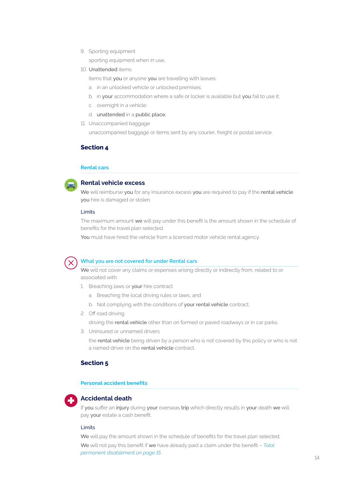9. Sporting equipment

sporting equipment when in use,

10. Unattended items

items that you or anyone you are travelling with leaves:

- a. in an unlocked vehicle or unlocked premises;
- b. in your accommodation where a safe or locker is available but you fail to use it;
- c. overnight in a vehicle;
- d. unattended in a public place.
- 11. Unaccompanied baggage

unaccompanied baggage or items sent by any courier, freight or postal service.

### **Section 4**

### **Rental cars**



### **Rental vehicle excess**

We will reimburse you for any insurance excess you are required to pay if the rental vehicle you hire is damaged or stolen.

### Limits

The maximum amount we will pay under this benefit is the amount shown in the schedule of benefits for the travel plan selected.

You must have hired the vehicle from a licenced motor vehicle rental agency.



### **What you are not covered for under Rental cars**

We will not cover any claims or expenses arising directly or indirectly from, related to or associated with:

- 1. Breaching laws or your hire contract
	- a. Breaching the local driving rules or laws, and
	- b. Not complying with the conditions of your rental vehicle contract.
- 2. Off road driving

driving the rental vehicle other than on formed or paved roadways or in car parks.

3. Uninsured or unnamed drivers

the rental vehicle being driven by a person who is not covered by this policy or who is not a named driver on the rental vehicle contract.

### **Section 5**

### **Personal accident benefits**



### **Accidental death**

If you suffer an injury during your overseas trip which directly results in your death we will pay your estate a cash benefit.

### Limits

We will pay the amount shown in the schedule of benefits for the travel plan selected.

We will not pay this benefit if we have already paid a claim under the benefit – *Total permanent disablement on page 15*.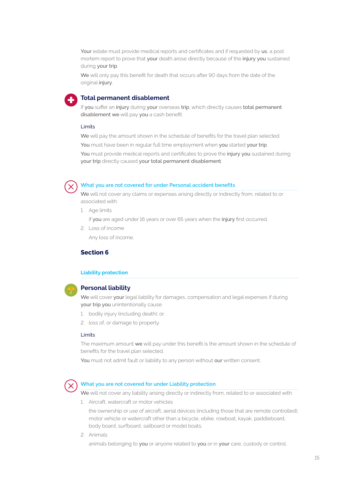Your estate must provide medical reports and certificates and if requested by us, a post mortem report to prove that your death arose directly because of the injury you sustained during your trip.

We will only pay this benefit for death that occurs after 90 days from the date of the original injury.

# **Total permanent disablement**

If you suffer an injury during your overseas trip, which directly causes total permanent disablement we will pay you a cash benefit.

### Limits

We will pay the amount shown in the schedule of benefits for the travel plan selected. You must have been in regular full time employment when you started your trip. You must provide medical reports and certificates to prove the injury you sustained during your trip directly caused your total permanent disablement.



### **What you are not covered for under Personal accident benefits**

We will not cover any claims or expenses arising directly or indirectly from, related to or associated with:

1. Age limits

if you are aged under 16 years or over 65 years when the injury first occurred.

2. Loss of income Any loss of income.

### **Section 6**

### **Liability protection**



### **Personal liability**

We will cover your legal liability for damages, compensation and legal expenses if during your trip you unintentionally cause:

- 1. bodily injury (including death); or
- 2. loss of, or damage to property.

### Limits

The maximum amount we will pay under this benefit is the amount shown in the schedule of benefits for the travel plan selected.

You must not admit fault or liability to any person without our written consent.



### **What you are not covered for under Liability protection**

We will not cover any liability arising directly or indirectly from, related to or associated with:

1. Aircraft, watercraft or motor vehicles

the ownership or use of aircraft, aerial devices (including those that are remote controlled), motor vehicle or watercraft other than a bicycle, ebike, rowboat, kayak, paddleboard, body board, surfboard, sailboard or model boats.

2. Animals

animals belonging to you or anyone related to you or in your care, custody or control.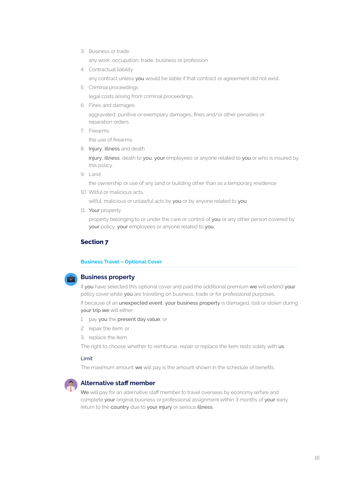3. Business or trade

any work, occupation, trade, business or profession

4. Contractual liability

any contract unless you would be liable if that contract or agreement did not exist.

- 5. Criminal proceedings legal costs arising from criminal proceedings.
- 6. Fines and damages

aggravated, punitive or exemplary damages, fines and/or other penalties or reparation orders.

7. Firearms

the use of firearms.

8. Injury, illness and death

injury, illness, death to you, your employees or anyone related to you or who is insured by this policy.

9. Land

the ownership or use of any land or building other than as a temporary residence

10. Wilful or malicious acts.

wilful, malicious or unlawful acts by you or by anyone related to you

11. Your property

property belonging to or under the care or control of you or any other person covered by your policy, your employees or anyone related to you,

# **Section 7**

### **Business Travel – Optional Cover**



### **Business property**

If you have selected this optional cover and paid the additional premium we will extend your policy cover while you are travelling on business, trade or for professional purposes.

If because of an unexpected event, your business property is damaged, lost or stolen during your trip we will either:

- 1. pay you the present day value; or
- 2. repair the item; or
- 3. replace the item.

The right to choose whether to reimburse, repair or replace the item rests solely with us.

### Limit

The maximum amount we will pay is the amount shown in the schedule of benefits.



### **Alternative staff member**

We will pay for an alternative staff member to travel overseas by economy airfare and complete your original business or professional assignment within 3 months of your early return to the country due to your injury or serious illness.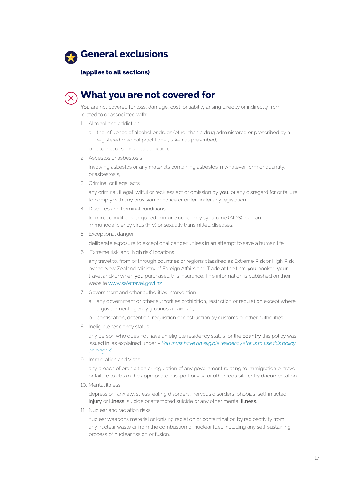

### **(applies to all sections)**



# **What you are not covered for**

You are not covered for loss, damage, cost, or liability arising directly or indirectly from, related to or associated with:

- 1. Alcohol and addiction
	- a. the influence of alcohol or drugs (other than a drug administered or prescribed by a registered medical practitioner, taken as prescribed).
	- b. alcohol or substance addiction.
- 2. Asbestos or asbestosis

Involving asbestos or any materials containing asbestos in whatever form or quantity, or asbestosis,

3. Criminal or illegal acts

any criminal, illegal, wilful or reckless act or omission by you, or any disregard for or failure to comply with any provision or notice or order under any legislation.

4. Diseases and terminal conditions

terminal conditions, acquired immune deficiency syndrome (AIDS), human immunodeficiency virus (HIV) or sexually transmitted diseases.

5. Exceptional danger

deliberate exposure to exceptional danger unless in an attempt to save a human life.

6. 'Extreme risk' and 'high risk' locations

any travel to, from or through countries or regions classified as Extreme Risk or High Risk by the New Zealand Ministry of Foreign Affairs and Trade at the time you booked your travel and/or when you purchased this insurance. This information is published on their website www.safetravel.govt.nz

- 7. Government and other authorities intervention
	- a. any government or other authorities prohibition, restriction or regulation except where a government agency grounds an aircraft;
	- b. confiscation, detention, requisition or destruction by customs or other authorities.
- 8. Ineligible residency status

any person who does not have an eligible residency status for the country this policy was issued in, as explained under – *You must have an eligible residency status to use this policy on page 4*.

9. Immigration and Visas

any breach of prohibition or regulation of any government relating to immigration or travel, or failure to obtain the appropriate passport or visa or other requisite entry documentation.

10. Mental illness

depression, anxiety, stress, eating disorders, nervous disorders, phobias, self-inflicted injury or illness, suicide or attempted suicide or any other mental illness.

11. Nuclear and radiation risks

nuclear weapons material or ionising radiation or contamination by radioactivity from any nuclear waste or from the combustion of nuclear fuel, including any self-sustaining process of nuclear fission or fusion.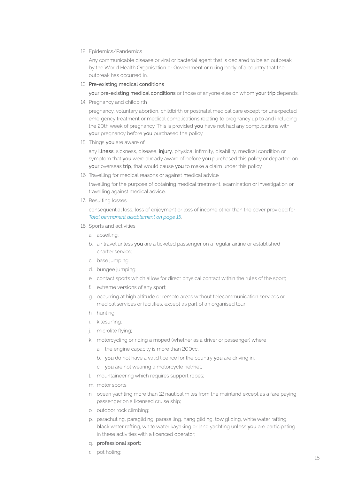12. Epidemics/Pandemics

Any communicable disease or viral or bacterial agent that is declared to be an outbreak by the World Health Organisation or Government or ruling body of a country that the outbreak has occurred in.

13. Pre-existing medical conditions

your pre-existing medical conditions or those of anyone else on whom your trip depends.

14. Pregnancy and childbirth

pregnancy, voluntary abortion, childbirth or postnatal medical care except for unexpected emergency treatment or medical complications relating to pregnancy up to and including the 20th week of pregnancy. This is provided you have not had any complications with your pregnancy before you purchased the policy.

15. Things you are aware of

any illness, sickness, disease, injury, physical infirmity, disability, medical condition or symptom that you were already aware of before you purchased this policy or departed on your overseas trip, that would cause you to make a claim under this policy.

16. Travelling for medical reasons or against medical advice

travelling for the purpose of obtaining medical treatment, examination or investigation or travelling against medical advice.

17. Resulting losses

consequential loss, loss of enjoyment or loss of income other than the cover provided for *Total permanent disablement on page 15*.

- 18. Sports and activities
	- a. abseiling;
	- b. air travel unless you are a ticketed passenger on a regular airline or established charter service;
	- c. base jumping;
	- d. bungee jumping;
	- e. contact sports which allow for direct physical contact within the rules of the sport;
	- f. extreme versions of any sport;
	- g. occurring at high altitude or remote areas without telecommunication services or medical services or facilities, except as part of an organised tour;
	- h. hunting;
	- i. kitesurfing;
	- j. microlite flying;
	- k. motorcycling or riding a moped (whether as a driver or passenger) where
		- a. the engine capacity is more than 200cc,
		- b. you do not have a valid licence for the country you are driving in,
		- c. you are not wearing a motorcycle helmet,
	- l. mountaineering which requires support ropes;
	- m. motor sports;
	- n. ocean yachting more than 12 nautical miles from the mainland except as a fare paying passenger on a licensed cruise ship;
	- o. outdoor rock climbing;
	- p. parachuting, paragliding, parasailing, hang gliding, tow gliding, white water rafting, black water rafting, white water kayaking or land yachting unless you are participating in these activities with a licenced operator;
	- q. professional sport;
	- r. pot holing;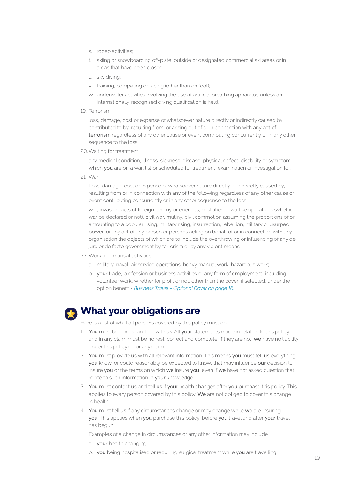- s. rodeo activities;
- t. skiing or snowboarding off-piste, outside of designated commercial ski areas or in areas that have been closed;
- u. sky diving;
- v. training, competing or racing (other than on foot);
- w. underwater activities involving the use of artificial breathing apparatus unless an internationally recognised diving qualification is held.
- 19. Terrorism

loss, damage, cost or expense of whatsoever nature directly or indirectly caused by, contributed to by, resulting from, or arising out of or in connection with any act of terrorism regardless of any other cause or event contributing concurrently or in any other sequence to the loss.

20.Waiting for treatment

any medical condition, illness, sickness, disease, physical defect, disability or symptom which you are on a wait list or scheduled for treatment, examination or investigation for.

21. War

Loss, damage, cost or expense of whatsoever nature directly or indirectly caused by, resulting from or in connection with any of the following regardless of any other cause or event contributing concurrently or in any other sequence to the loss:

war, invasion, acts of foreign enemy or enemies, hostilities or warlike operations (whether war be declared or not), civil war, mutiny, civil commotion assuming the proportions of or amounting to a popular rising, military rising, insurrection, rebellion, military or usurped power, or any act of any person or persons acting on behalf of or in connection with any organisation the objects of which are to include the overthrowing or influencing of any de jure or de facto government by terrorism or by any violent means.

### 22. Work and manual activities

- a. military, naval, air service operations, heavy manual work, hazardous work;
- b. your trade, profession or business activities or any form of employment, including volunteer work, whether for profit or not, other than the cover, if selected, under the option benefit - *Business Travel – Optional Cover on page 16*.

# **What your obligations are**

Here is a list of what all persons covered by this policy must do.

- 1. You must be honest and fair with us. All your statements made in relation to this policy and in any claim must be honest, correct and complete. If they are not, we have no liability under this policy or for any claim.
- 2. You must provide us with all relevant information. This means you must tell us everything you know, or could reasonably be expected to know, that may influence our decision to insure you or the terms on which we insure you, even if we have not asked question that relate to such information in your knowledge.
- 3. You must contact us and tell us if your health changes after you purchase this policy. This applies to every person covered by this policy. We are not obliged to cover this change in health.
- 4. You must tell us if any circumstances change or may change while we are insuring you. This applies when you purchase this policy, before you travel and after your travel has begun.

Examples of a change in circumstances or any other information may include:

- a. your health changing,
- b. you being hospitalised or requiring surgical treatment while you are travelling,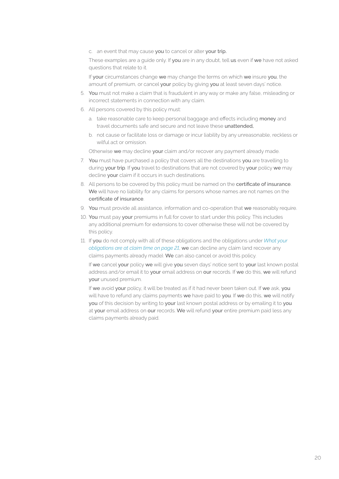c. an event that may cause you to cancel or alter your trip.

These examples are a quide only. If you are in any doubt, tell us even if we have not asked questions that relate to it.

If your circumstances change we may change the terms on which we insure you, the amount of premium, or cancel your policy by giving you at least seven days' notice.

- 5. You must not make a claim that is fraudulent in any way or make any false, misleading or incorrect statements in connection with any claim.
- 6. All persons covered by this policy must:
	- a. take reasonable care to keep personal baggage and effects including money and travel documents safe and secure and not leave these unattended,
	- b. not cause or facilitate loss or damage or incur liability by any unreasonable, reckless or wilful act or omission.

Otherwise we may decline your claim and/or recover any payment already made.

- 7. You must have purchased a policy that covers all the destinations you are travelling to during your trip. If you travel to destinations that are not covered by your policy we may decline your claim if it occurs in such destinations.
- 8. All persons to be covered by this policy must be named on the certificate of insurance. We will have no liability for any claims for persons whose names are not names on the certificate of insurance.
- 9. You must provide all assistance, information and co-operation that we reasonably require.
- 10. You must pay your premiums in full for cover to start under this policy. This includes any additional premium for extensions to cover otherwise these will not be covered by this policy.
- 11. If you do not comply with all of these obligations and the obligations under *What your obligations are at claim time on page 21*, we can decline any claim (and recover any claims payments already made). We can also cancel or avoid this policy.

If we cancel your policy we will give you seven days' notice sent to your last known postal address and/or email it to your email address on our records. If we do this, we will refund your unused premium.

If we avoid your policy, it will be treated as if it had never been taken out. If we ask, you will have to refund any claims payments we have paid to you. If we do this, we will notify you of this decision by writing to your last known postal address or by emailing it to you at your email address on our records. We will refund your entire premium paid less any claims payments already paid.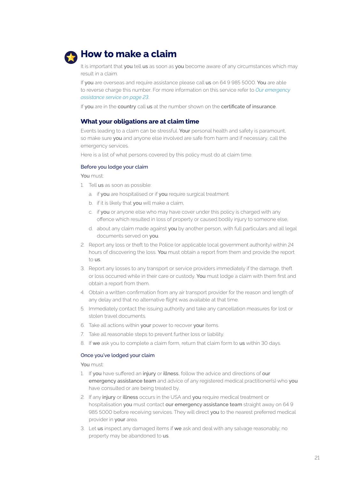

# **How to make a claim**

It is important that you tell us as soon as you become aware of any circumstances which may result in a claim.

If you are overseas and require assistance please call us on 64 9 985 5000. You are able to reverse charge this number. For more information on this service refer to *Our emergency assistance service on page 23*.

If you are in the country call us at the number shown on the certificate of insurance.

### **What your obligations are at claim time**

Events leading to a claim can be stressful. Your personal health and safety is paramount, so make sure you and anyone else involved are safe from harm and if necessary, call the emergency services.

Here is a list of what persons covered by this policy must do at claim time.

### Before you lodge your claim

You must:

- 1. Tell us as soon as possible:
	- a. if you are hospitalised or if you require surgical treatment
	- b. if it is likely that you will make a claim,
	- c. if you or anyone else who may have cover under this policy is charged with any offence which resulted in loss of property or caused bodily injury to someone else,
	- d. about any claim made against you by another person, with full particulars and all legal documents served on you.
- 2. Report any loss or theft to the Police (or applicable local government authority) within 24 hours of discovering the loss. You must obtain a report from them and provide the report to us.
- 3. Report any losses to any transport or service providers immediately if the damage, theft or loss occurred while in their care or custody. You must lodge a claim with them first and obtain a report from them.
- 4. Obtain a written confirmation from any air transport provider for the reason and length of any delay and that no alternative flight was available at that time.
- 5. Immediately contact the issuing authority and take any cancellation measures for lost or stolen travel documents.
- 6. Take all actions within your power to recover your items.
- 7. Take all reasonable steps to prevent further loss or liability.
- 8. If we ask you to complete a claim form, return that claim form to us within 30 days.

### Once you've lodged your claim

You must:

- 1. If you have suffered an injury or illness, follow the advice and directions of our emergency assistance team and advice of any registered medical practitioner(s) who you have consulted or are being treated by.
- 2. If any injury or illness occurs in the USA and you require medical treatment or hospitalisation you must contact our emergency assistance team straight away on 64 9 985 5000 before receiving services. They will direct you to the nearest preferred medical provider in your area.
- 3. Let us inspect any damaged items if we ask and deal with any salvage reasonably; no property may be abandoned to us.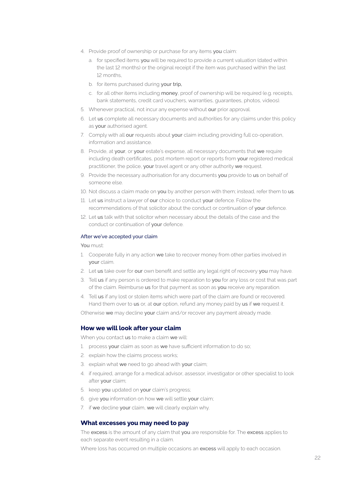- 4. Provide proof of ownership or purchase for any items you claim:
	- a. for specified items you will be required to provide a current valuation (dated within the last 12 months) or the original receipt if the item was purchased within the last 12 months,
	- b. for items purchased during your trip,
	- c. for all other items including money, proof of ownership will be required (e.g. receipts, bank statements, credit card vouchers, warranties, guarantees, photos, videos).
- 5. Whenever practical, not incur any expense without our prior approval.
- 6. Let us complete all necessary documents and authorities for any claims under this policy as your authorised agent.
- 7. Comply with all our requests about your claim including providing full co-operation, information and assistance.
- 8. Provide, at your, or your estate's expense, all necessary documents that we require including death certificates, post mortem report or reports from your registered medical practitioner, the police, your travel agent or any other authority we request.
- 9. Provide the necessary authorisation for any documents you provide to us on behalf of someone else.
- 10. Not discuss a claim made on you by another person with them; instead, refer them to us.
- 11. Let us instruct a lawyer of our choice to conduct your defence. Follow the recommendations of that solicitor about the conduct or continuation of your defence.
- 12. Let us talk with that solicitor when necessary about the details of the case and the conduct or continuation of your defence.

### After we've accepted your claim

You must:

- 1. Cooperate fully in any action we take to recover money from other parties involved in your claim.
- 2. Let us take over for our own benefit and settle any legal right of recovery you may have.
- 3. Tell us if any person is ordered to make reparation to you for any loss or cost that was part of the claim. Reimburse us for that payment as soon as you receive any reparation.
- 4. Tell us if any lost or stolen items which were part of the claim are found or recovered. Hand them over to us or, at our option, refund any money paid by us if we request it.

Otherwise we may decline your claim and/or recover any payment already made.

### **How we will look after your claim**

When you contact us to make a claim we will:

- 1. process your claim as soon as we have sufficient information to do so;
- 2. explain how the claims process works;
- 3. explain what we need to go ahead with your claim;
- 4. if required, arrange for a medical advisor, assessor, investigator or other specialist to look after your claim;
- 5. keep you updated on your claim's progress;
- 6. give you information on how we will settle your claim;
- 7. if we decline your claim, we will clearly explain why.

### **What excesses you may need to pay**

The excess is the amount of any claim that you are responsible for. The excess applies to each separate event resulting in a claim.

Where loss has occurred on multiple occasions an excess will apply to each occasion.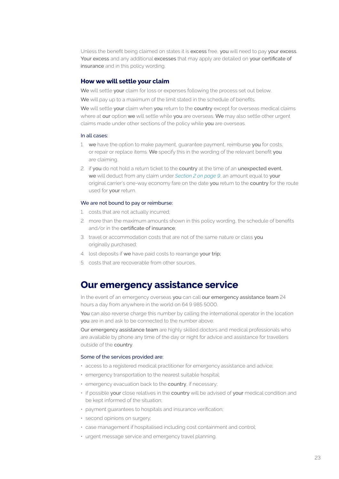Unless the benefit being claimed on states it is excess free, you will need to pay your excess. Your excess and any additional excesses that may apply are detailed on your certificate of insurance and in this policy wording.

### **How we will settle your claim**

We will settle your claim for loss or expenses following the process set out below.

We will pay up to a maximum of the limit stated in the schedule of benefits.

We will settle your claim when you return to the country except for overseas medical claims where at our option we will settle while you are overseas. We may also settle other urgent claims made under other sections of the policy while you are overseas.

### In all cases:

- 1. we have the option to make payment, quarantee payment, reimburse you for costs, or repair or replace items. We specify this in the wording of the relevant benefit you are claiming.
- 2. if you do not hold a return ticket to the country at the time of an unexpected event, we will deduct from any claim under *Section 2 on page 9*, an amount equal to your original carrier's one-way economy fare on the date you return to the country for the route used for your return.

### We are not bound to pay or reimburse:

- 1. costs that are not actually incurred;
- 2. more than the maximum amounts shown in this policy wording, the schedule of benefits and/or in the certificate of insurance;
- 3. travel or accommodation costs that are not of the same nature or class you originally purchased;
- 4. lost deposits if we have paid costs to rearrange your trip;
- 5. costs that are recoverable from other sources.

# **Our emergency assistance service**

In the event of an emergency overseas you can call our emergency assistance team 24 hours a day from anywhere in the world on 64 9 985 5000.

You can also reverse charge this number by calling the international operator in the location you are in and ask to be connected to the number above.

Our emergency assistance team are highly skilled doctors and medical professionals who are available by phone any time of the day or night for advice and assistance for travellers outside of the country.

### Some of the services provided are:

- access to a registered medical practitioner for emergency assistance and advice;
- emergency transportation to the nearest suitable hospital;
- emergency evacuation back to the country, if necessary;
- if possible your close relatives in the country will be advised of your medical condition and be kept informed of the situation;
- payment guarantees to hospitals and insurance verification;
- second opinions on surgery;
- case management if hospitalised including cost containment and control;
- urgent message service and emergency travel planning.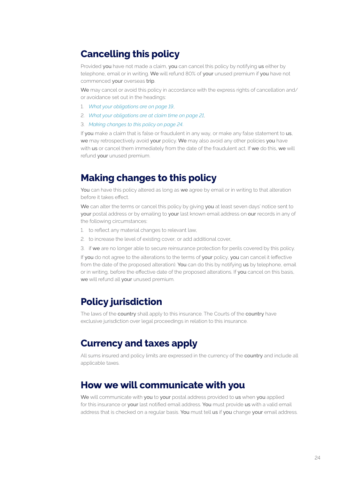# **Cancelling this policy**

Provided you have not made a claim, you can cancel this policy by notifying us either by telephone, email or in writing. We will refund 80% of your unused premium if you have not commenced your overseas trip.

We may cancel or avoid this policy in accordance with the express rights of cancellation and/ or avoidance set out in the headings:

- 1. *What your obligations are on page 19*,
- 2. *What your obligations are at claim time on page 21*,
- 3. *Making changes to this policy on page 24*.

If you make a claim that is false or fraudulent in any way, or make any false statement to us, we may retrospectively avoid your policy. We may also avoid any other policies you have with us or cancel them immediately from the date of the fraudulent act. If we do this, we will refund your unused premium.

# **Making changes to this policy**

You can have this policy altered as long as we agree by email or in writing to that alteration before it takes effect.

We can alter the terms or cancel this policy by giving you at least seven days' notice sent to your postal address or by emailing to your last known email address on our records in any of the following circumstances:

- 1. to reflect any material changes to relevant law,
- 2. to increase the level of existing cover, or add additional cover,
- 3. if we are no longer able to secure reinsurance protection for perils covered by this policy.

If you do not agree to the alterations to the terms of your policy, you can cancel it (effective from the date of the proposed alteration). You can do this by notifying us by telephone, email or in writing, before the effective date of the proposed alterations. If you cancel on this basis, we will refund all your unused premium.

# **Policy jurisdiction**

The laws of the country shall apply to this insurance. The Courts of the country have exclusive jurisdiction over legal proceedings in relation to this insurance.

# **Currency and taxes apply**

All sums insured and policy limits are expressed in the currency of the country and include all applicable taxes.

# **How we will communicate with you**

We will communicate with you to your postal address provided to us when you applied for this insurance or your last notified email address. You must provide us with a valid email address that is checked on a regular basis. You must tell us if you change your email address.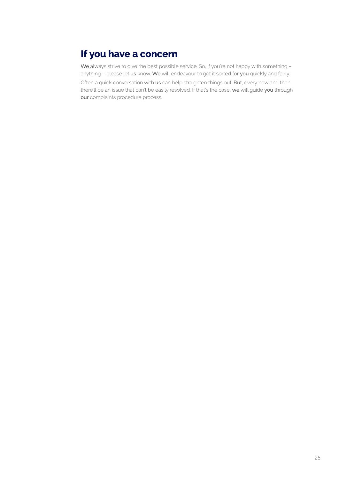# **If you have a concern**

We always strive to give the best possible service. So, if you're not happy with something anything - please let us know. We will endeavour to get it sorted for you quickly and fairly. Often a quick conversation with us can help straighten things out. But, every now and then there'll be an issue that can't be easily resolved. If that's the case, we will guide you through our complaints procedure process.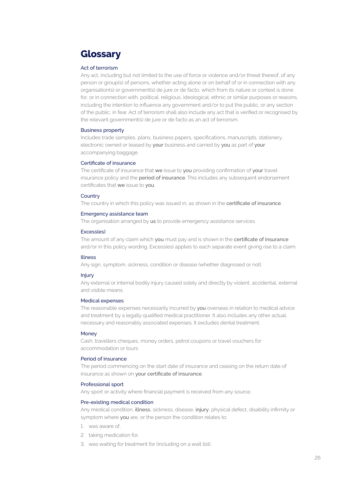# **Glossary**

### Act of terrorism

Any act, including but not limited to the use of force or violence and/or threat thereof, of any person or group(s) of persons, whether acting alone or on behalf of or in connection with any organisation(s) or government(s) de jure or de facto, which from its nature or context is done for, or in connection with, political, religious, ideological, ethnic or similar purposes or reasons, including the intention to influence any government and/or to put the public, or any section of the public, in fear. Act of terrorism shall also include any act that is verified or recognised by the relevant government(s) de jure or de facto as an act of terrorism.

### Business property

Includes trade samples, plans, business papers, specifications, manuscripts, stationery, electronic owned or leased by your business and carried by you as part of your accompanying baggage.

### Certificate of insurance

The certificate of insurance that we issue to you providing confirmation of your travel insurance policy and the **period of insurance**. This includes any subsequent endorsement certificates that we issue to you.

### **Country**

The country in which this policy was issued in, as shown in the certificate of insurance.

### Emergency assistance team

The organisation arranged by us to provide emergency assistance services.

### Excess(es)

The amount of any claim which you must pay and is shown in the certificate of insurance and/or in this policy wording. Excess(es) applies to each separate event giving rise to a claim.

### Illness

Any sign, symptom, sickness, condition or disease (whether diagnosed or not).

### Injury

Any external or internal bodily injury caused solely and directly by violent, accidental, external and visible means.

### Medical expenses

The reasonable expenses necessarily incurred by you overseas in relation to medical advice and treatment by a legally qualified medical practitioner. It also includes any other actual, necessary and reasonably associated expenses. It excludes dental treatment.

### **Money**

Cash, travellers cheques, money orders, petrol coupons or travel vouchers for accommodation or tours

### Period of insurance

The period commencing on the start date of insurance and ceasing on the return date of insurance as shown on your certificate of insurance.

### Professional sport

Any sport or activity where financial payment is received from any source.

### Pre-existing medical condition

Any medical condition, illness, sickness, disease, injury, physical defect, disability infirmity or symptom where you are, or the person the condition relates to:

- 1. was aware of,
- 2. taking medication for,
- 3. was waiting for treatment for (including on a wait list),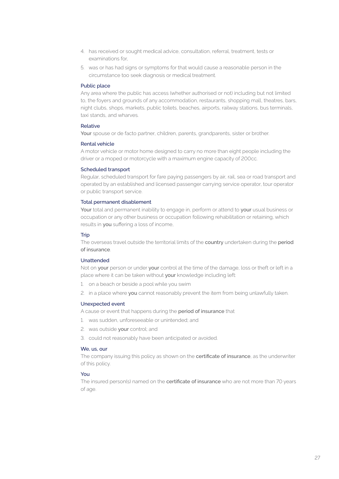- 4. has received or sought medical advice, consultation, referral, treatment, tests or examinations for,
- 5. was or has had signs or symptoms for that would cause a reasonable person in the circumstance too seek diagnosis or medical treatment.

### Public place

Any area where the public has access (whether authorised or not) including but not limited to, the foyers and grounds of any accommodation, restaurants, shopping mall, theatres, bars, night clubs, shops, markets, public toilets, beaches, airports, railway stations, bus terminals, taxi stands, and wharves.

### Relative

Your spouse or de facto partner, children, parents, grandparents, sister or brother.

### Rental vehicle

A motor vehicle or motor home designed to carry no more than eight people including the driver or a moped or motorcycle with a maximum engine capacity of 200cc.

### Scheduled transport

Regular, scheduled transport for fare paying passengers by air, rail, sea or road transport and operated by an established and licensed passenger carrying service operator, tour operator or public transport service.

### Total permanent disablement

Your total and permanent inability to engage in, perform or attend to your usual business or occupation or any other business or occupation following rehabilitation or retaining, which results in you suffering a loss of income,

### **Trip**

The overseas travel outside the territorial limits of the country undertaken during the period of insurance.

### Unattended

Not on your person or under your control at the time of the damage, loss or theft or left in a place where it can be taken without your knowledge including left:

- 1. on a beach or beside a pool while you swim
- 2. in a place where you cannot reasonably prevent the item from being unlawfully taken.

### Unexpected event

A cause or event that happens during the period of insurance that

- 1. was sudden, unforeseeable or unintended; and
- 2. was outside your control; and
- 3. could not reasonably have been anticipated or avoided.

### We, us, our

The company issuing this policy as shown on the certificate of insurance, as the underwriter of this policy.

### You

The insured person(s) named on the certificate of insurance who are not more than 70 years of age.